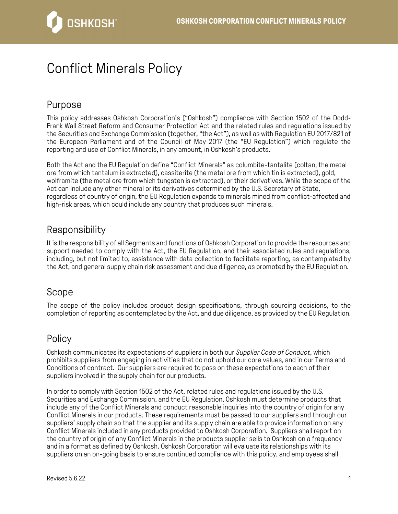

# Conflict Minerals Policy

## Purpose

This policy addresses Oshkosh Corporation's ("Oshkosh") compliance with Section 1502 of the Dodd-Frank Wall Street Reform and Consumer Protection Act and the related rules and regulations issued by the Securities and Exchange Commission (together, "the Act"), as well as with Regulation EU 2017/821 of the European Parliament and of the Council of May 2017 (the "EU Regulation") which regulate the reporting and use of Conflict Minerals, in any amount, in Oshkosh's products.

Both the Act and the EU Regulation define "Conflict Minerals" as columbite-tantalite (coltan, the metal ore from which tantalum is extracted), cassiterite (the metal ore from which tin is extracted), gold, wolframite (the metal ore from which tungsten is extracted), or their derivatives. While the scope of the Act can include any other mineral or its derivatives determined by the U.S. Secretary of State, regardless of country of origin, the EU Regulation expands to minerals mined from conflict-affected and high-risk areas, which could include any country that produces such minerals.

### Responsibility

It is the responsibility of all Segments and functions of Oshkosh Corporation to provide the resources and support needed to comply with the Act, the EU Regulation, and their associated rules and regulations, including, but not limited to, assistance with data collection to facilitate reporting, as contemplated by the Act, and general supply chain risk assessment and due diligence, as promoted by the EU Regulation.

#### Scope

The scope of the policy includes product design specifications, through sourcing decisions, to the completion of reporting as contemplated by the Act, and due diligence, as provided by the EU Regulation.

#### **Policy**

Oshkosh communicates its expectations of suppliers in both our *Supplier Code of Conduct*, which prohibits suppliers from engaging in activities that do not uphold our core values, and in our Terms and Conditions of contract. Our suppliers are required to pass on these expectations to each of their suppliers involved in the supply chain for our products.

In order to comply with Section 1502 of the Act, related rules and regulations issued by the U.S. Securities and Exchange Commission, and the EU Regulation, Oshkosh must determine products that include any of the Conflict Minerals and conduct reasonable inquiries into the country of origin for any Conflict Minerals in our products. These requirements must be passed to our suppliers and through our suppliers' supply chain so that the supplier and its supply chain are able to provide information on any Conflict Minerals included in any products provided to Oshkosh Corporation. Suppliers shall report on the country of origin of any Conflict Minerals in the products supplier sells to Oshkosh on a frequency and in a format as defined by Oshkosh. Oshkosh Corporation will evaluate its relationships with its suppliers on an on-going basis to ensure continued compliance with this policy, and employees shall